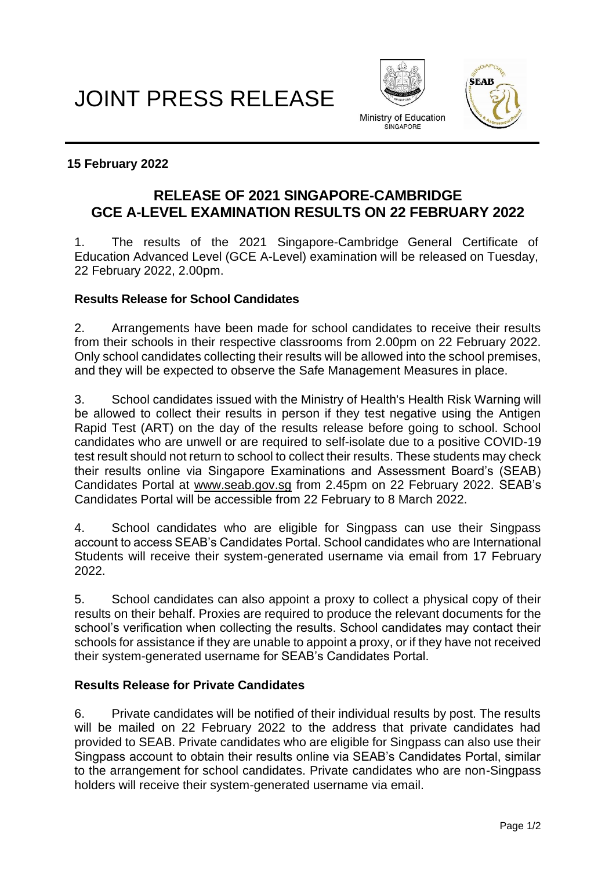# JOINT PRESS RELEASE





## **15 February 2022**

# **RELEASE OF 2021 SINGAPORE-CAMBRIDGE GCE A-LEVEL EXAMINATION RESULTS ON 22 FEBRUARY 2022**

1. The results of the 2021 Singapore-Cambridge General Certificate of Education Advanced Level (GCE A-Level) examination will be released on Tuesday, 22 February 2022, 2.00pm.

#### **Results Release for School Candidates**

2. Arrangements have been made for school candidates to receive their results from their schools in their respective classrooms from 2.00pm on 22 February 2022. Only school candidates collecting their results will be allowed into the school premises, and they will be expected to observe the Safe Management Measures in place.

3. School candidates issued with the Ministry of Health's Health Risk Warning will be allowed to collect their results in person if they test negative using the Antigen Rapid Test (ART) on the day of the results release before going to school. School candidates who are unwell or are required to self-isolate due to a positive COVID-19 test result should not return to school to collect their results. These students may check their results online via Singapore Examinations and Assessment Board's (SEAB) Candidates Portal at [www.seab.gov.sg](http://www.seab.gov.sg/) from 2.45pm on 22 February 2022. SEAB's Candidates Portal will be accessible from 22 February to 8 March 2022.

4. School candidates who are eligible for Singpass can use their Singpass account to access SEAB's Candidates Portal. School candidates who are International Students will receive their system-generated username via email from 17 February 2022.

5. School candidates can also appoint a proxy to collect a physical copy of their results on their behalf. Proxies are required to produce the relevant documents for the school's verification when collecting the results. School candidates may contact their schools for assistance if they are unable to appoint a proxy, or if they have not received their system-generated username for SEAB's Candidates Portal.

# **Results Release for Private Candidates**

6. Private candidates will be notified of their individual results by post. The results will be mailed on 22 February 2022 to the address that private candidates had provided to SEAB. Private candidates who are eligible for Singpass can also use their Singpass account to obtain their results online via SEAB's Candidates Portal, similar to the arrangement for school candidates. Private candidates who are non-Singpass holders will receive their system-generated username via email.